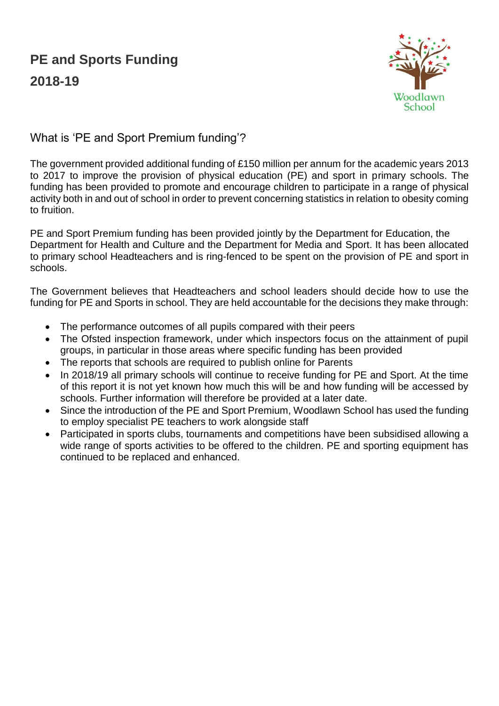## **PE and Sports Funding 2018-19**



What is 'PE and Sport Premium funding'?

The government provided additional funding of £150 million per annum for the academic years 2013 to 2017 to improve the provision of physical education (PE) and sport in primary schools. The funding has been provided to promote and encourage children to participate in a range of physical activity both in and out of school in order to prevent concerning statistics in relation to obesity coming to fruition.

PE and Sport Premium funding has been provided jointly by the Department for Education, the Department for Health and Culture and the Department for Media and Sport. It has been allocated to primary school Headteachers and is ring-fenced to be spent on the provision of PE and sport in schools.

The Government believes that Headteachers and school leaders should decide how to use the funding for PE and Sports in school. They are held accountable for the decisions they make through:

- The performance outcomes of all pupils compared with their peers
- The Ofsted inspection framework, under which inspectors focus on the attainment of pupil groups, in particular in those areas where specific funding has been provided
- The reports that schools are required to publish online for Parents
- In 2018/19 all primary schools will continue to receive funding for PE and Sport. At the time of this report it is not yet known how much this will be and how funding will be accessed by schools. Further information will therefore be provided at a later date.
- Since the introduction of the PE and Sport Premium, Woodlawn School has used the funding to employ specialist PE teachers to work alongside staff
- Participated in sports clubs, tournaments and competitions have been subsidised allowing a wide range of sports activities to be offered to the children. PE and sporting equipment has continued to be replaced and enhanced.